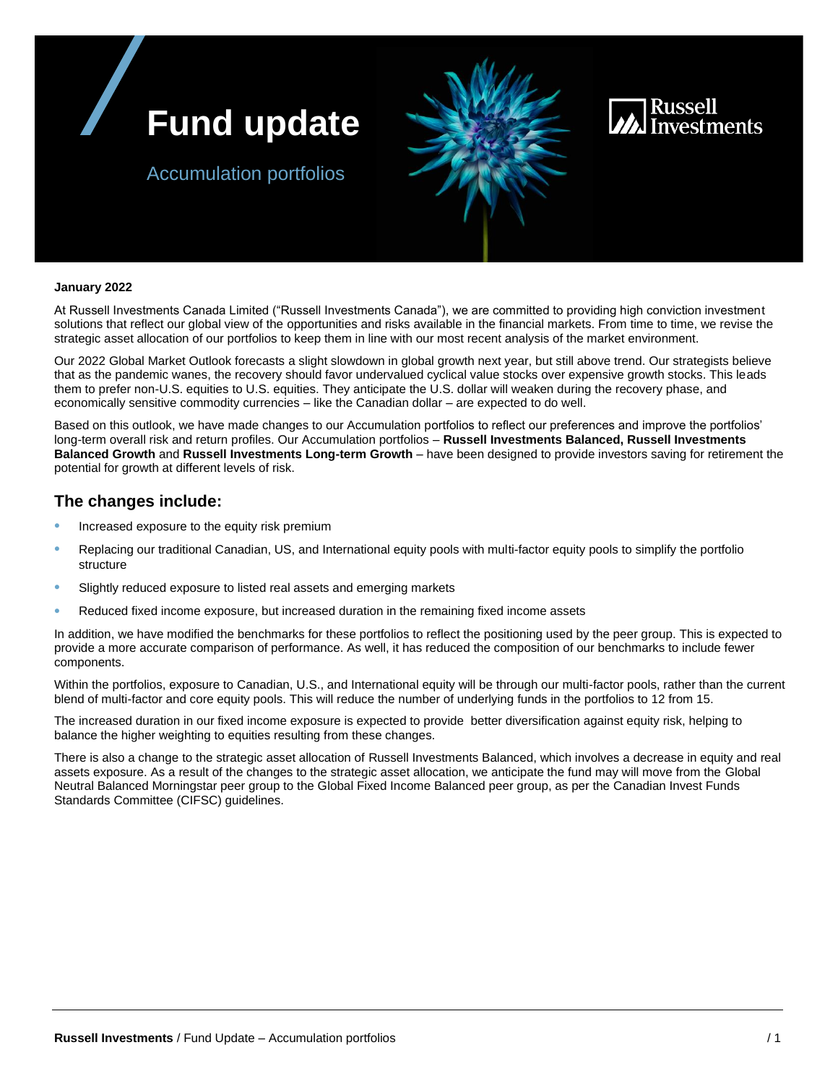



### Accumulation portfolios

#### **January 2022**

 strategic asset allocation of our portfolios to keep them in line with our most recent analysis of the market environment. At Russell Investments Canada Limited ("Russell Investments Canada"), we are committed to providing high conviction investment solutions that reflect our global view of the opportunities and risks available in the financial markets. From time to time, we revise the

 that as the pandemic wanes, the recovery should favor undervalued cyclical value stocks over expensive growth stocks. This leads economically sensitive commodity currencies – like the Canadian dollar – are expected to do well. Our 2022 Global Market Outlook forecasts a slight slowdown in global growth next year, but still above trend. Our strategists believe them to prefer non-U.S. equities to U.S. equities. They anticipate the U.S. dollar will weaken during the recovery phase, and

 Based on this outlook, we have made changes to our Accumulation portfolios to reflect our preferences and improve the portfolios' **Balanced Growth and Russell Investments Long-term Growth – have been designed to provide investors saving for retirement the** long-term overall risk and return profiles. Our Accumulation portfolios – **Russell Investments Balanced, Russell Investments**  potential for growth at different levels of risk.

### **The changes include:**

- Increased exposure to the equity risk premium
- • Replacing our traditional Canadian, US, and International equity pools with multi-factor equity pools to simplify the portfolio structure
- Slightly reduced exposure to listed real assets and emerging markets
- Reduced fixed income exposure, but increased duration in the remaining fixed income assets

 In addition, we have modified the benchmarks for these portfolios to reflect the positioning used by the peer group. This is expected to provide a more accurate comparison of performance. As well, it has reduced the composition of our benchmarks to include fewer components.

 Within the portfolios, exposure to Canadian, U.S., and International equity will be through our multi-factor pools, rather than the current blend of multi-factor and core equity pools. This will reduce the number of underlying funds in the portfolios to 12 from 15.

 The increased duration in our fixed income exposure is expected to provide better diversification against equity risk, helping to balance the higher weighting to equities resulting from these changes.

 There is also a change to the strategic asset allocation of Russell Investments Balanced, which involves a decrease in equity and real assets exposure. As a result of the changes to the strategic asset allocation, we anticipate the fund may will move from the Global Neutral Balanced Morningstar peer group to the Global Fixed Income Balanced peer group, as per the Canadian Invest Funds Standards Committee (CIFSC) guidelines.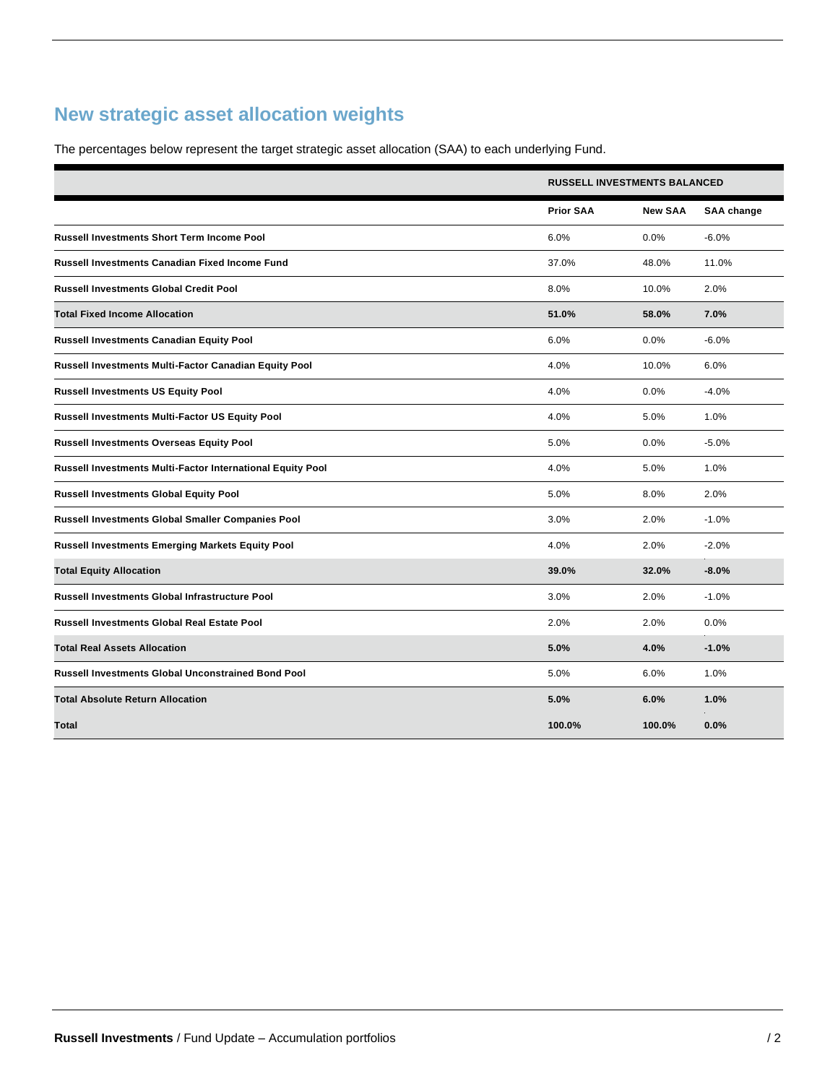## **New strategic asset allocation weights**

The percentages below represent the target strategic asset allocation (SAA) to each underlying Fund.

|                                                            | <b>RUSSELL INVESTMENTS BALANCED</b> |                |                   |  |
|------------------------------------------------------------|-------------------------------------|----------------|-------------------|--|
|                                                            | <b>Prior SAA</b>                    | <b>New SAA</b> | <b>SAA</b> change |  |
| <b>Russell Investments Short Term Income Pool</b>          | 6.0%                                | 0.0%           | $-6.0%$           |  |
| <b>Russell Investments Canadian Fixed Income Fund</b>      | 37.0%                               | 48.0%          | 11.0%             |  |
| <b>Russell Investments Global Credit Pool</b>              | 8.0%                                | 10.0%          | 2.0%              |  |
| <b>Total Fixed Income Allocation</b>                       | 51.0%                               | 58.0%          | 7.0%              |  |
| <b>Russell Investments Canadian Equity Pool</b>            | 6.0%                                | 0.0%           | $-6.0%$           |  |
| Russell Investments Multi-Factor Canadian Equity Pool      | 4.0%                                | 10.0%          | 6.0%              |  |
| <b>Russell Investments US Equity Pool</b>                  | 4.0%                                | 0.0%           | $-4.0%$           |  |
| Russell Investments Multi-Factor US Equity Pool            | 4.0%                                | 5.0%           | 1.0%              |  |
| <b>Russell Investments Overseas Equity Pool</b>            | 5.0%                                | 0.0%           | $-5.0%$           |  |
| Russell Investments Multi-Factor International Equity Pool | 4.0%                                | 5.0%           | 1.0%              |  |
| <b>Russell Investments Global Equity Pool</b>              | 5.0%                                | 8.0%           | 2.0%              |  |
| Russell Investments Global Smaller Companies Pool          | 3.0%                                | 2.0%           | $-1.0%$           |  |
| <b>Russell Investments Emerging Markets Equity Pool</b>    | 4.0%                                | 2.0%           | $-2.0%$           |  |
| <b>Total Equity Allocation</b>                             | 39.0%                               | 32.0%          | $-8.0%$           |  |
| <b>Russell Investments Global Infrastructure Pool</b>      | 3.0%                                | 2.0%           | $-1.0%$           |  |
| <b>Russell Investments Global Real Estate Pool</b>         | 2.0%                                | 2.0%           | 0.0%              |  |
| <b>Total Real Assets Allocation</b>                        | 5.0%                                | 4.0%           | $-1.0%$           |  |
| <b>Russell Investments Global Unconstrained Bond Pool</b>  | 5.0%                                | 6.0%           | 1.0%              |  |
| <b>Total Absolute Return Allocation</b>                    | 5.0%                                | 6.0%           | 1.0%              |  |
| Total                                                      | 100.0%                              | 100.0%         | 0.0%              |  |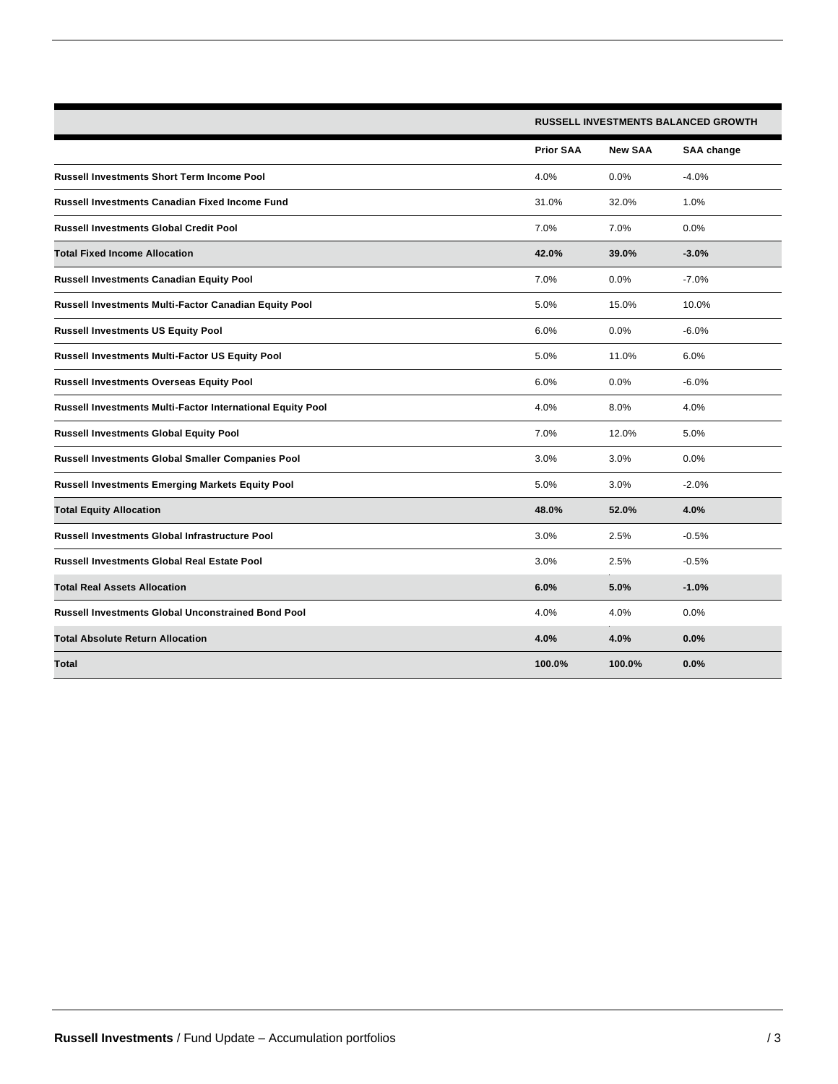|                                                            | <b>RUSSELL INVESTMENTS BALANCED GROWTH</b> |                |                   |  |
|------------------------------------------------------------|--------------------------------------------|----------------|-------------------|--|
|                                                            | <b>Prior SAA</b>                           | <b>New SAA</b> | <b>SAA</b> change |  |
| <b>Russell Investments Short Term Income Pool</b>          | 4.0%                                       | 0.0%           | $-4.0%$           |  |
| Russell Investments Canadian Fixed Income Fund             | 31.0%                                      | 32.0%          | 1.0%              |  |
| <b>Russell Investments Global Credit Pool</b>              | 7.0%                                       | 7.0%           | 0.0%              |  |
| <b>Total Fixed Income Allocation</b>                       | 42.0%                                      | 39.0%          | $-3.0%$           |  |
| <b>Russell Investments Canadian Equity Pool</b>            | 7.0%                                       | 0.0%           | $-7.0%$           |  |
| Russell Investments Multi-Factor Canadian Equity Pool      | 5.0%                                       | 15.0%          | 10.0%             |  |
| <b>Russell Investments US Equity Pool</b>                  | 6.0%                                       | 0.0%           | $-6.0%$           |  |
| Russell Investments Multi-Factor US Equity Pool            | 5.0%                                       | 11.0%          | 6.0%              |  |
| <b>Russell Investments Overseas Equity Pool</b>            | 6.0%                                       | 0.0%           | $-6.0%$           |  |
| Russell Investments Multi-Factor International Equity Pool | 4.0%                                       | 8.0%           | 4.0%              |  |
| <b>Russell Investments Global Equity Pool</b>              | 7.0%                                       | 12.0%          | 5.0%              |  |
| Russell Investments Global Smaller Companies Pool          | 3.0%                                       | 3.0%           | 0.0%              |  |
| <b>Russell Investments Emerging Markets Equity Pool</b>    | 5.0%                                       | 3.0%           | $-2.0%$           |  |
| <b>Total Equity Allocation</b>                             | 48.0%                                      | 52.0%          | 4.0%              |  |
| <b>Russell Investments Global Infrastructure Pool</b>      | 3.0%                                       | 2.5%           | $-0.5%$           |  |
| <b>Russell Investments Global Real Estate Pool</b>         | 3.0%                                       | 2.5%           | $-0.5%$           |  |
| <b>Total Real Assets Allocation</b>                        | 6.0%                                       | 5.0%           | $-1.0%$           |  |
| <b>Russell Investments Global Unconstrained Bond Pool</b>  | 4.0%                                       | 4.0%           | 0.0%              |  |
| <b>Total Absolute Return Allocation</b>                    | 4.0%                                       | 4.0%           | 0.0%              |  |
| Total                                                      | 100.0%                                     | 100.0%         | 0.0%              |  |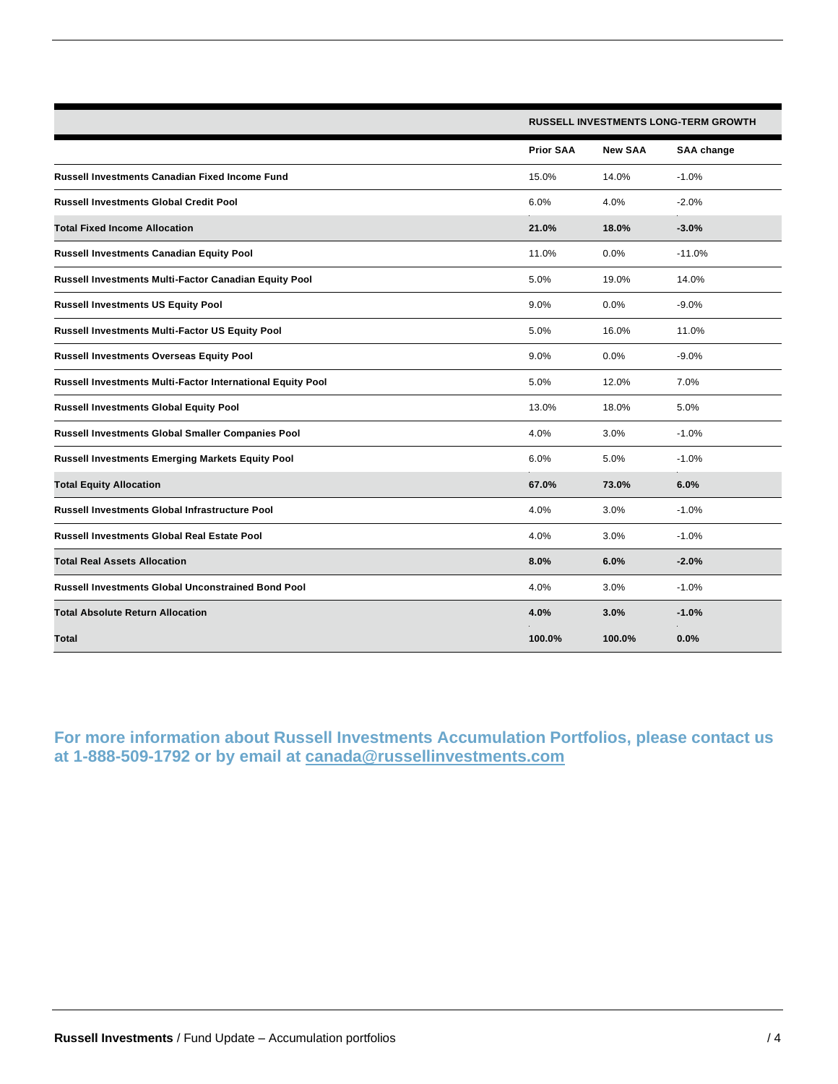|                                                            |                  | <b>RUSSELL INVESTMENTS LONG-TERM GROWTH</b> |            |  |  |
|------------------------------------------------------------|------------------|---------------------------------------------|------------|--|--|
|                                                            | <b>Prior SAA</b> | <b>New SAA</b>                              | SAA change |  |  |
| Russell Investments Canadian Fixed Income Fund             | 15.0%            | 14.0%                                       | $-1.0%$    |  |  |
| <b>Russell Investments Global Credit Pool</b>              | 6.0%             | 4.0%                                        | $-2.0%$    |  |  |
| <b>Total Fixed Income Allocation</b>                       | 21.0%            | 18.0%                                       | $-3.0%$    |  |  |
| <b>Russell Investments Canadian Equity Pool</b>            | 11.0%            | 0.0%                                        | $-11.0%$   |  |  |
| Russell Investments Multi-Factor Canadian Equity Pool      | 5.0%             | 19.0%                                       | 14.0%      |  |  |
| <b>Russell Investments US Equity Pool</b>                  | 9.0%             | 0.0%                                        | $-9.0%$    |  |  |
| Russell Investments Multi-Factor US Equity Pool            | 5.0%             | 16.0%                                       | 11.0%      |  |  |
| <b>Russell Investments Overseas Equity Pool</b>            | 9.0%             | 0.0%                                        | $-9.0%$    |  |  |
| Russell Investments Multi-Factor International Equity Pool | 5.0%             | 12.0%                                       | 7.0%       |  |  |
| <b>Russell Investments Global Equity Pool</b>              | 13.0%            | 18.0%                                       | 5.0%       |  |  |
| Russell Investments Global Smaller Companies Pool          | 4.0%             | 3.0%                                        | $-1.0%$    |  |  |
| <b>Russell Investments Emerging Markets Equity Pool</b>    | 6.0%             | 5.0%                                        | $-1.0%$    |  |  |
| <b>Total Equity Allocation</b>                             | 67.0%            | 73.0%                                       | 6.0%       |  |  |
| <b>Russell Investments Global Infrastructure Pool</b>      | 4.0%             | 3.0%                                        | $-1.0%$    |  |  |
| <b>Russell Investments Global Real Estate Pool</b>         | 4.0%             | 3.0%                                        | $-1.0%$    |  |  |
| <b>Total Real Assets Allocation</b>                        | 8.0%             | 6.0%                                        | $-2.0%$    |  |  |
| <b>Russell Investments Global Unconstrained Bond Pool</b>  | 4.0%             | 3.0%                                        | $-1.0%$    |  |  |
| <b>Total Absolute Return Allocation</b>                    | 4.0%             | 3.0%                                        | $-1.0%$    |  |  |
| Total                                                      | 100.0%           | 100.0%                                      | 0.0%       |  |  |

**For more information about Russell Investments Accumulation Portfolios, please contact us at 1-888-509-1792 or by email at [canada@russellinvestments.com](mailto:canada@russellinvestments.com)**